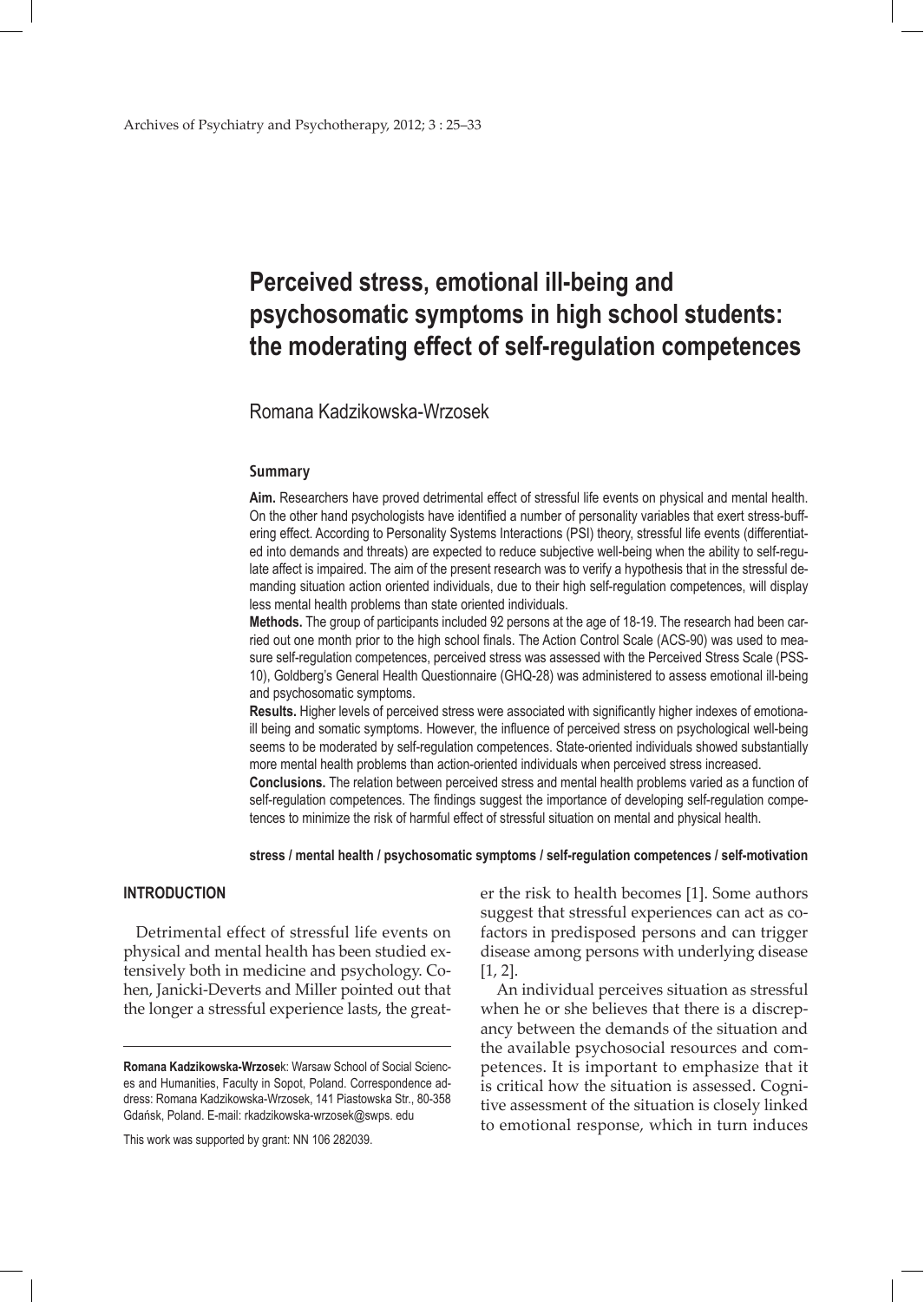# **Perceived stress, emotional ill-being and psychosomatic symptoms in high school students: the moderating effect of self-regulation competences**

Romana Kadzikowska-Wrzosek

#### **Summary**

**Aim.** Researchers have proved detrimental effect of stressful life events on physical and mental health. On the other hand psychologists have identified a number of personality variables that exert stress-buffering effect. According to Personality Systems Interactions (PSI) theory, stressful life events (differentiated into demands and threats) are expected to reduce subjective well-being when the ability to self-regulate affect is impaired. The aim of the present research was to verify a hypothesis that in the stressful demanding situation action oriented individuals, due to their high self-regulation competences, will display less mental health problems than state oriented individuals.

**Methods.** The group of participants included 92 persons at the age of 18-19. The research had been carried out one month prior to the high school finals. The Action Control Scale (ACS-90) was used to measure self-regulation competences, perceived stress was assessed with the Perceived Stress Scale (PSS-10), Goldberg's General Health Questionnaire (GHQ-28) was administered to assess emotional ill-being and psychosomatic symptoms.

**Results.** Higher levels of perceived stress were associated with significantly higher indexes of emotionaill being and somatic symptoms. However, the influence of perceived stress on psychological well-being seems to be moderated by self-regulation competences. State-oriented individuals showed substantially more mental health problems than action-oriented individuals when perceived stress increased. **Conclusions.** The relation between perceived stress and mental health problems varied as a function of self-regulation competences. The findings suggest the importance of developing self-regulation competences to minimize the risk of harmful effect of stressful situation on mental and physical health.

**stress / mental health / psychosomatic symptoms / self-regulation competences / self-motivation**

# **INTRODUCTION**

Detrimental effect of stressful life events on physical and mental health has been studied extensively both in medicine and psychology. Cohen, Janicki-Deverts and Miller pointed out that the longer a stressful experience lasts, the great-

This work was supported by grant: NN 106 282039.

er the risk to health becomes [1]. Some authors suggest that stressful experiences can act as cofactors in predisposed persons and can trigger disease among persons with underlying disease [1, 2].

 An individual perceives situation as stressful when he or she believes that there is a discrepancy between the demands of the situation and the available psychosocial resources and competences. It is important to emphasize that it is critical how the situation is assessed. Cognitive assessment of the situation is closely linked to emotional response, which in turn induces

**Romana Kadzikowska-Wrzose**k: Warsaw School of Social Sciences and Humanities, Faculty in Sopot, Poland. Correspondence address: Romana Kadzikowska-Wrzosek, 141 Piastowska Str., 80-358 Gdańsk, Poland. E-mail: rkadzikowska-wrzosek@swps. edu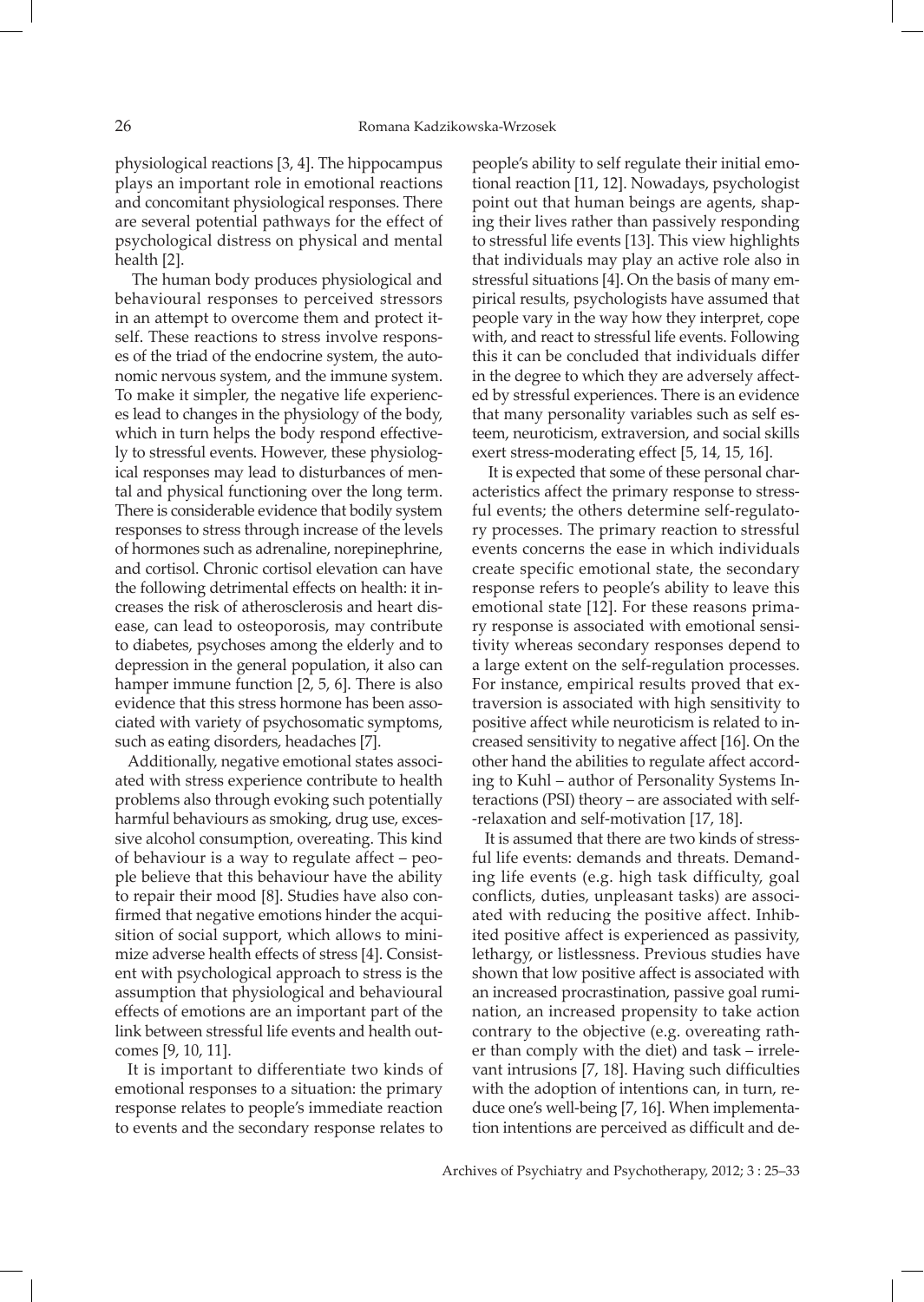physiological reactions [3, 4]. The hippocampus plays an important role in emotional reactions and concomitant physiological responses. There are several potential pathways for the effect of psychological distress on physical and mental health [2].

 The human body produces physiological and behavioural responses to perceived stressors in an attempt to overcome them and protect itself. These reactions to stress involve responses of the triad of the endocrine system, the autonomic nervous system, and the immune system. To make it simpler, the negative life experiences lead to changes in the physiology of the body, which in turn helps the body respond effectively to stressful events. However, these physiological responses may lead to disturbances of mental and physical functioning over the long term. There is considerable evidence that bodily system responses to stress through increase of the levels of hormones such as adrenaline, norepinephrine, and cortisol. Chronic cortisol elevation can have the following detrimental effects on health: it increases the risk of atherosclerosis and heart disease, can lead to osteoporosis, may contribute to diabetes, psychoses among the elderly and to depression in the general population, it also can hamper immune function [2, 5, 6]. There is also evidence that this stress hormone has been associated with variety of psychosomatic symptoms, such as eating disorders, headaches [7].

Additionally, negative emotional states associated with stress experience contribute to health problems also through evoking such potentially harmful behaviours as smoking, drug use, excessive alcohol consumption, overeating. This kind of behaviour is a way to regulate affect – people believe that this behaviour have the ability to repair their mood [8]. Studies have also confirmed that negative emotions hinder the acquisition of social support, which allows to minimize adverse health effects of stress [4]. Consistent with psychological approach to stress is the assumption that physiological and behavioural effects of emotions are an important part of the link between stressful life events and health outcomes [9, 10, 11].

It is important to differentiate two kinds of emotional responses to a situation: the primary response relates to people's immediate reaction to events and the secondary response relates to

people's ability to self regulate their initial emotional reaction [11, 12]. Nowadays, psychologist point out that human beings are agents, shaping their lives rather than passively responding to stressful life events [13]. This view highlights that individuals may play an active role also in stressful situations [4]. On the basis of many empirical results, psychologists have assumed that people vary in the way how they interpret, cope with, and react to stressful life events. Following this it can be concluded that individuals differ in the degree to which they are adversely affected by stressful experiences. There is an evidence that many personality variables such as self esteem, neuroticism, extraversion, and social skills exert stress-moderating effect [5, 14, 15, 16].

It is expected that some of these personal characteristics affect the primary response to stressful events; the others determine self-regulatory processes. The primary reaction to stressful events concerns the ease in which individuals create specific emotional state, the secondary response refers to people's ability to leave this emotional state [12]. For these reasons primary response is associated with emotional sensitivity whereas secondary responses depend to a large extent on the self-regulation processes. For instance, empirical results proved that extraversion is associated with high sensitivity to positive affect while neuroticism is related to increased sensitivity to negative affect [16]. On the other hand the abilities to regulate affect according to Kuhl – author of Personality Systems Interactions (PSI) theory – are associated with self- -relaxation and self-motivation [17, 18].

It is assumed that there are two kinds of stressful life events: demands and threats. Demanding life events (e.g. high task difficulty, goal conflicts, duties, unpleasant tasks) are associated with reducing the positive affect. Inhibited positive affect is experienced as passivity, lethargy, or listlessness. Previous studies have shown that low positive affect is associated with an increased procrastination, passive goal rumination, an increased propensity to take action contrary to the objective (e.g. overeating rather than comply with the diet) and task – irrelevant intrusions [7, 18]. Having such difficulties with the adoption of intentions can, in turn, reduce one's well-being [7, 16]. When implementation intentions are perceived as difficult and de-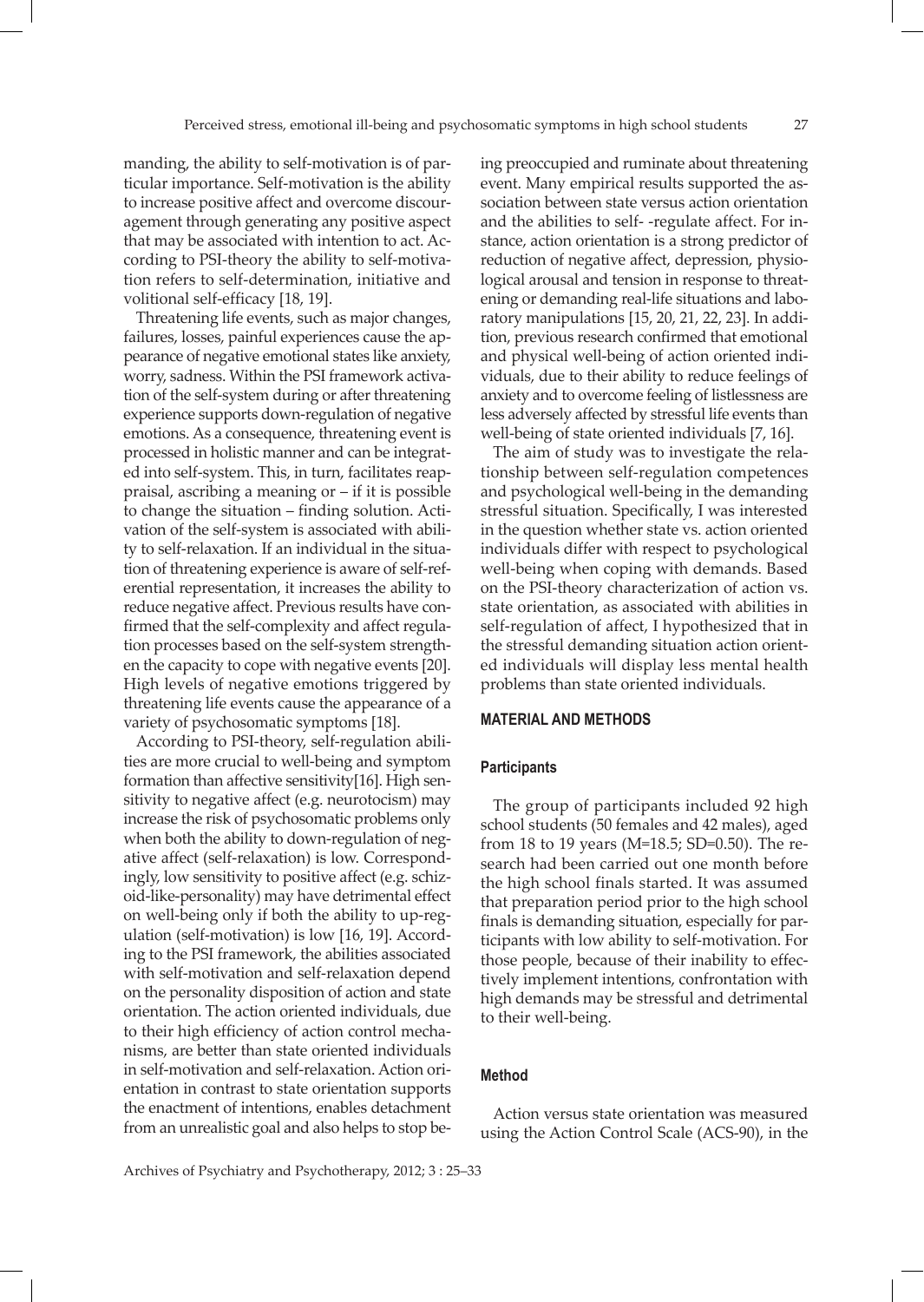manding, the ability to self-motivation is of particular importance. Self-motivation is the ability to increase positive affect and overcome discouragement through generating any positive aspect that may be associated with intention to act. According to PSI-theory the ability to self-motivation refers to self-determination, initiative and volitional self-efficacy [18, 19].

Threatening life events, such as major changes, failures, losses, painful experiences cause the appearance of negative emotional states like anxiety, worry, sadness. Within the PSI framework activation of the self-system during or after threatening experience supports down-regulation of negative emotions. As a consequence, threatening event is processed in holistic manner and can be integrated into self-system. This, in turn, facilitates reappraisal, ascribing a meaning or – if it is possible to change the situation – finding solution. Activation of the self-system is associated with ability to self-relaxation. If an individual in the situation of threatening experience is aware of self-referential representation, it increases the ability to reduce negative affect. Previous results have confirmed that the self-complexity and affect regulation processes based on the self-system strengthen the capacity to cope with negative events [20]. High levels of negative emotions triggered by threatening life events cause the appearance of a variety of psychosomatic symptoms [18].

According to PSI-theory, self-regulation abilities are more crucial to well-being and symptom formation than affective sensitivity[16]. High sensitivity to negative affect (e.g. neurotocism) may increase the risk of psychosomatic problems only when both the ability to down-regulation of negative affect (self-relaxation) is low. Correspondingly, low sensitivity to positive affect (e.g. schizoid-like-personality) may have detrimental effect on well-being only if both the ability to up-regulation (self-motivation) is low [16, 19]. According to the PSI framework, the abilities associated with self-motivation and self-relaxation depend on the personality disposition of action and state orientation. The action oriented individuals, due to their high efficiency of action control mechanisms, are better than state oriented individuals in self-motivation and self-relaxation. Action orientation in contrast to state orientation supports the enactment of intentions, enables detachment from an unrealistic goal and also helps to stop being preoccupied and ruminate about threatening event. Many empirical results supported the association between state versus action orientation and the abilities to self- -regulate affect. For instance, action orientation is a strong predictor of reduction of negative affect, depression, physiological arousal and tension in response to threatening or demanding real-life situations and laboratory manipulations [15, 20, 21, 22, 23]. In addition, previous research confirmed that emotional and physical well-being of action oriented individuals, due to their ability to reduce feelings of anxiety and to overcome feeling of listlessness are less adversely affected by stressful life events than well-being of state oriented individuals [7, 16].

The aim of study was to investigate the relationship between self-regulation competences and psychological well-being in the demanding stressful situation. Specifically, I was interested in the question whether state vs. action oriented individuals differ with respect to psychological well-being when coping with demands. Based on the PSI-theory characterization of action vs. state orientation, as associated with abilities in self-regulation of affect, I hypothesized that in the stressful demanding situation action oriented individuals will display less mental health problems than state oriented individuals.

### **MATERIAL AND METHODS**

#### **Participants**

The group of participants included 92 high school students (50 females and 42 males), aged from 18 to 19 years (M=18.5; SD=0.50). The research had been carried out one month before the high school finals started. It was assumed that preparation period prior to the high school finals is demanding situation, especially for participants with low ability to self-motivation. For those people, because of their inability to effectively implement intentions, confrontation with high demands may be stressful and detrimental to their well-being.

### **Method**

Action versus state orientation was measured using the Action Control Scale (ACS-90), in the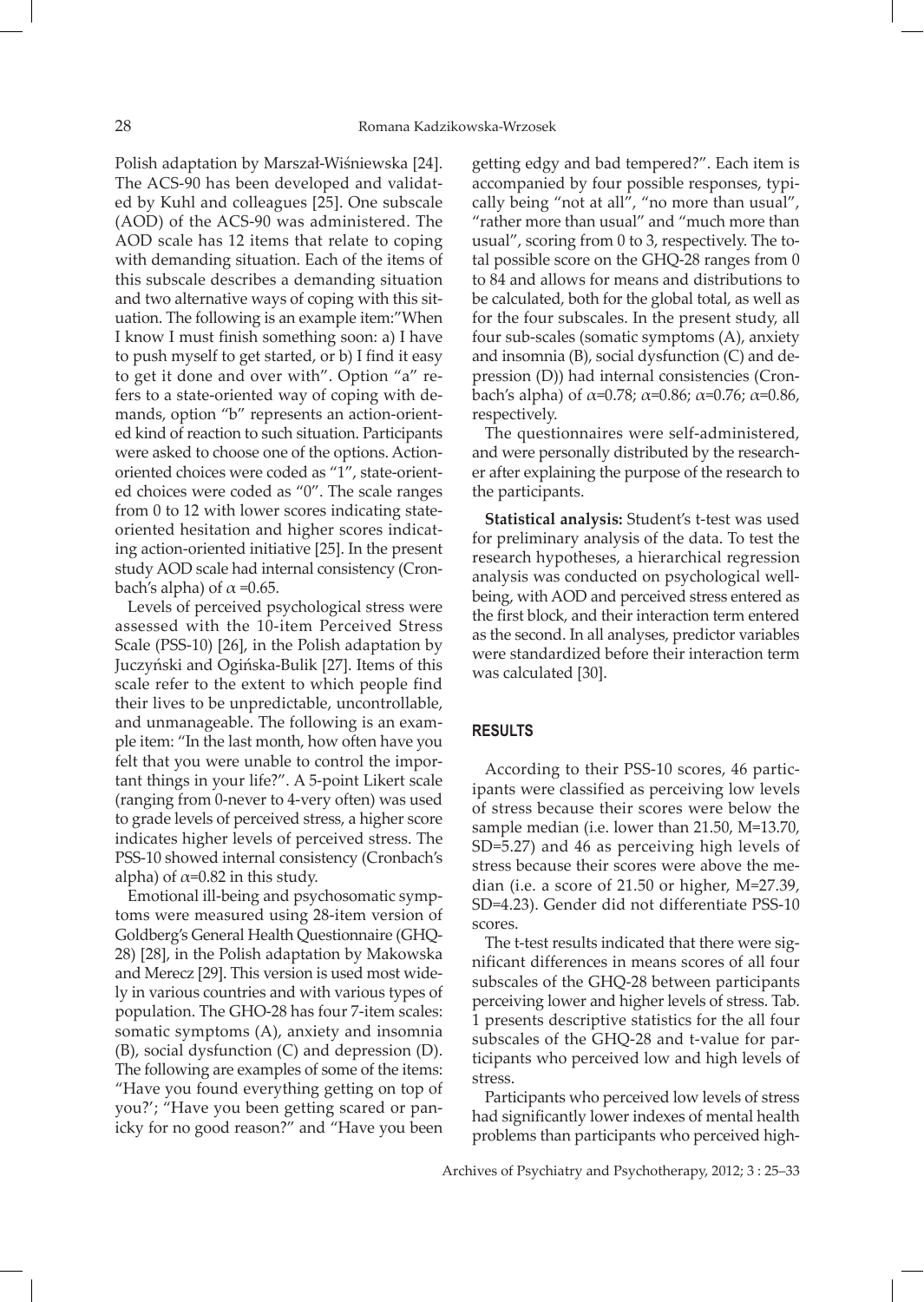Polish adaptation by Marszał-Wiśniewska [24]. The ACS-90 has been developed and validated by Kuhl and colleagues [25]. One subscale (AOD) of the ACS-90 was administered. The AOD scale has 12 items that relate to coping with demanding situation. Each of the items of this subscale describes a demanding situation and two alternative ways of coping with this situation. The following is an example item:"When I know I must finish something soon: a) I have to push myself to get started, or b) I find it easy to get it done and over with". Option "a" refers to a state-oriented way of coping with demands, option "b" represents an action-oriented kind of reaction to such situation. Participants were asked to choose one of the options. Actionoriented choices were coded as "1", state-oriented choices were coded as "0". The scale ranges from 0 to 12 with lower scores indicating stateoriented hesitation and higher scores indicating action-oriented initiative [25]. In the present study AOD scale had internal consistency (Cronbach's alpha) of  $\alpha$  =0.65.

Levels of perceived psychological stress were assessed with the 10-item Perceived Stress Scale (PSS-10) [26], in the Polish adaptation by Juczyński and Ogińska-Bulik [27]. Items of this scale refer to the extent to which people find their lives to be unpredictable, uncontrollable, and unmanageable. The following is an example item: "In the last month, how often have you felt that you were unable to control the important things in your life?". A 5-point Likert scale (ranging from 0-never to 4-very often) was used to grade levels of perceived stress, a higher score indicates higher levels of perceived stress. The PSS-10 showed internal consistency (Cronbach's alpha) of  $\alpha$ =0.82 in this study.

Emotional ill-being and psychosomatic symptoms were measured using 28-item version of Goldberg's General Health Questionnaire (GHQ-28) [28], in the Polish adaptation by Makowska and Merecz [29]. This version is used most widely in various countries and with various types of population. The GHO-28 has four 7-item scales: somatic symptoms (A), anxiety and insomnia (B), social dysfunction (C) and depression (D). The following are examples of some of the items: "Have you found everything getting on top of you?'; "Have you been getting scared or panicky for no good reason?" and "Have you been

getting edgy and bad tempered?". Each item is accompanied by four possible responses, typically being "not at all", "no more than usual", "rather more than usual" and "much more than usual", scoring from 0 to 3, respectively. The total possible score on the GHQ-28 ranges from 0 to 84 and allows for means and distributions to be calculated, both for the global total, as well as for the four subscales. In the present study, all four sub-scales (somatic symptoms (A), anxiety and insomnia (B), social dysfunction (C) and depression (D)) had internal consistencies (Cronbach's alpha) of  $\alpha$ =0.78;  $\alpha$ =0.86;  $\alpha$ =0.76;  $\alpha$ =0.86, respectively.

The questionnaires were self-administered, and were personally distributed by the researcher after explaining the purpose of the research to the participants.

**Statistical analysis:** Student's t-test was used for preliminary analysis of the data. To test the research hypotheses, a hierarchical regression analysis was conducted on psychological wellbeing, with AOD and perceived stress entered as the first block, and their interaction term entered as the second. In all analyses, predictor variables were standardized before their interaction term was calculated [30].

# **RESULTS**

According to their PSS-10 scores, 46 participants were classified as perceiving low levels of stress because their scores were below the sample median (i.e. lower than 21.50, M=13.70, SD=5.27) and 46 as perceiving high levels of stress because their scores were above the median (i.e. a score of 21.50 or higher, M=27.39, SD=4.23). Gender did not differentiate PSS-10 scores.

The t-test results indicated that there were significant differences in means scores of all four subscales of the GHQ-28 between participants perceiving lower and higher levels of stress. Tab. 1 presents descriptive statistics for the all four subscales of the GHQ-28 and t-value for participants who perceived low and high levels of stress.

Participants who perceived low levels of stress had significantly lower indexes of mental health problems than participants who perceived high-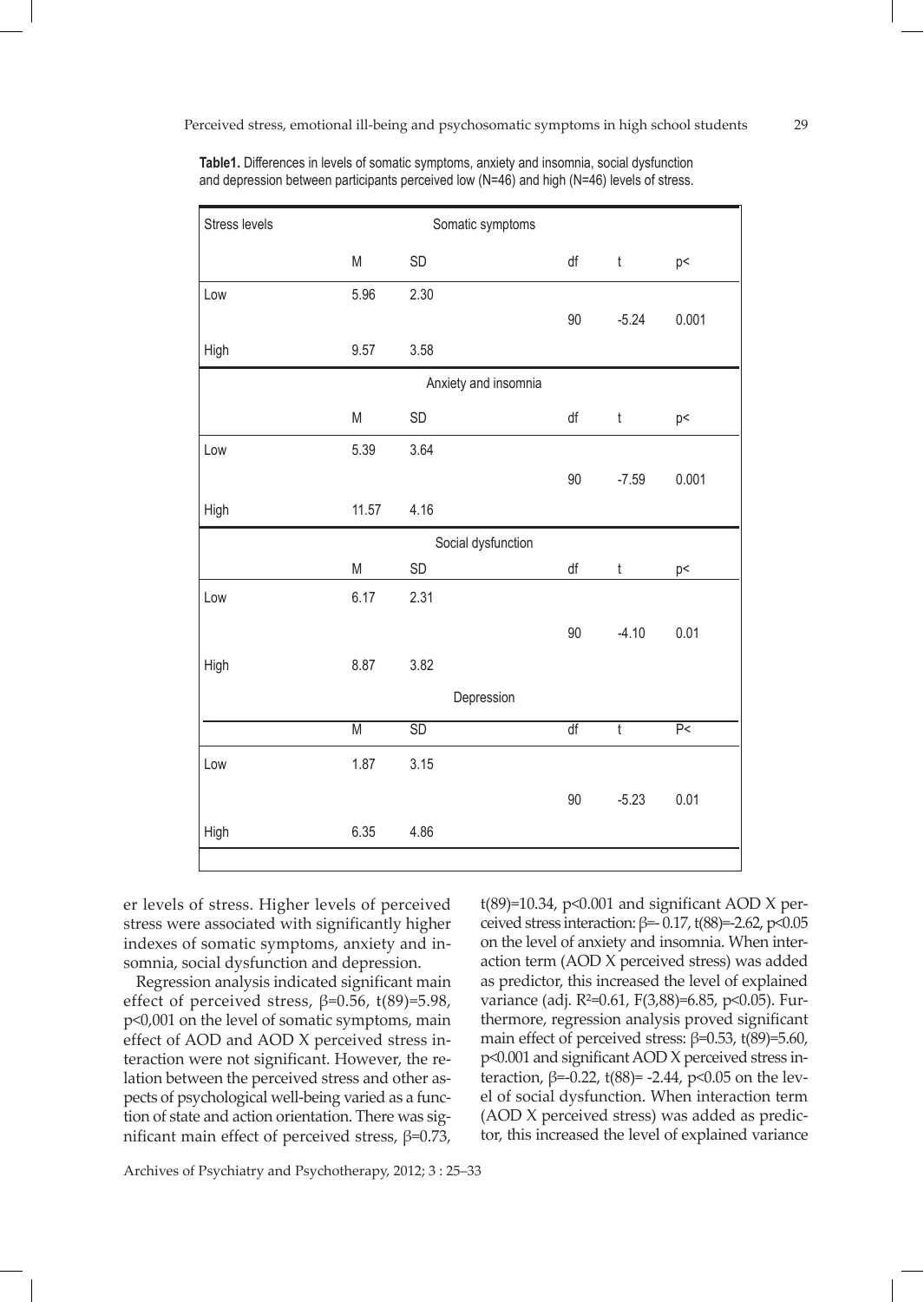| Stress levels        |                         | Somatic symptoms |                 |                |                                      |
|----------------------|-------------------------|------------------|-----------------|----------------|--------------------------------------|
|                      | ${\sf M}$               | SD               | df              | $\mathfrak t$  | p<                                   |
| Low                  | 5.96                    | 2.30             |                 |                |                                      |
|                      |                         |                  | 90              | $-5.24$        | 0.001                                |
| High                 | 9.57                    | 3.58             |                 |                |                                      |
| Anxiety and insomnia |                         |                  |                 |                |                                      |
|                      | M                       | SD               | df              | $^\mathrm{t}$  | p<                                   |
| Low                  | 5.39                    | 3.64             |                 |                |                                      |
|                      |                         |                  | 90              | $-7.59$        | 0.001                                |
| High                 | 11.57                   | 4.16             |                 |                |                                      |
| Social dysfunction   |                         |                  |                 |                |                                      |
|                      | ${\sf M}$               | SD               | df              | t              | p<                                   |
| Low                  | 6.17                    | 2.31             |                 |                |                                      |
|                      |                         |                  | 90              | $-4.10$        | 0.01                                 |
| High                 | 8.87                    | 3.82             |                 |                |                                      |
|                      |                         | Depression       |                 |                |                                      |
|                      | $\overline{\mathsf{M}}$ | $\overline{SD}$  | $\overline{df}$ | $\overline{t}$ | $\overline{\mathsf{P}^{\mathsf{c}}}$ |
| Low                  | 1.87                    | 3.15             |                 |                |                                      |
|                      |                         |                  | $90\,$          | $-5.23$        | 0.01                                 |
| High                 | 6.35                    | 4.86             |                 |                |                                      |

**Table1.** Differences in levels of somatic symptoms, anxiety and insomnia, social dysfunction and depression between participants perceived low (N=46) and high (N=46) levels of stress.

er levels of stress. Higher levels of perceived stress were associated with significantly higher indexes of somatic symptoms, anxiety and insomnia, social dysfunction and depression.

Regression analysis indicated significant main effect of perceived stress,  $β=0.56$ , t $(89)=5.98$ , p<0,001 on the level of somatic symptoms, main effect of AOD and AOD X perceived stress interaction were not significant. However, the relation between the perceived stress and other aspects of psychological well-being varied as a function of state and action orientation. There was significant main effect of perceived stress, β=0.73,

Archives of Psychiatry and Psychotherapy, 2012; 3 : 25–33

 $t(89)=10.34$ , p<0.001 and significant AOD X perceived stress interaction:  $β=0.17$ , t $(88)=2.62$ , p<0.05 on the level of anxiety and insomnia. When interaction term (AOD X perceived stress) was added as predictor, this increased the level of explained variance (adj. R<sup>2=0.61</sup>, F(3,88)=6.85, p<0.05). Furthermore, regression analysis proved significant main effect of perceived stress:  $\beta$ =0.53, t(89)=5.60, p<0.001 and significant AOD X perceived stress interaction,  $β=0.22$ , t $(88)= -2.44$ , p<0.05 on the level of social dysfunction. When interaction term (AOD X perceived stress) was added as predictor, this increased the level of explained variance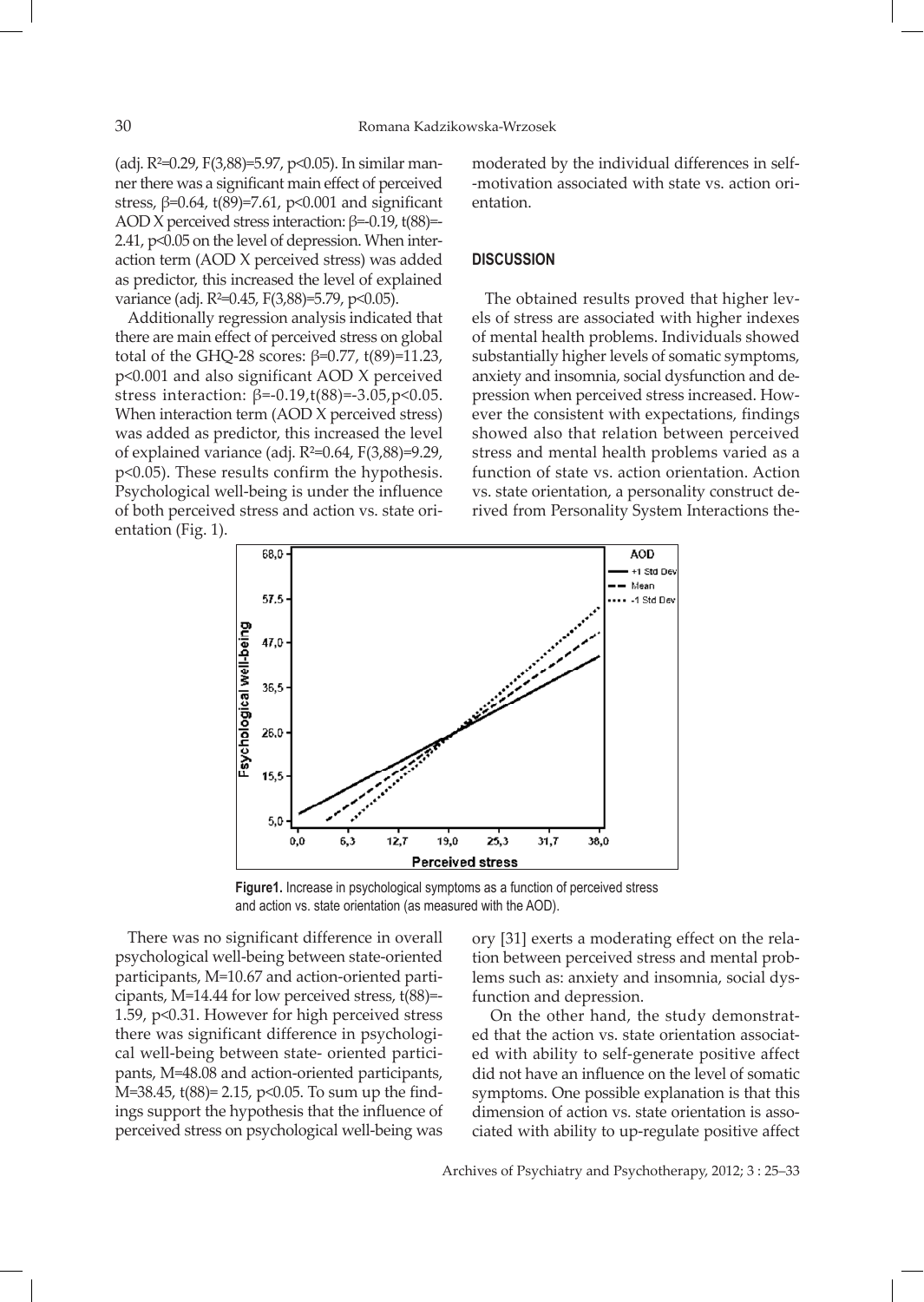(adj. R²=0.29, F(3,88)=5.97, p<0.05). In similar manner there was a significant main effect of perceived stress,  $\beta = 0.64$ , t $(89) = 7.61$ ,  $p < 0.001$  and significant AOD X perceived stress interaction:  $β=0.19$ , t $(88)$ = 2.41, p<0.05 on the level of depression. When interaction term (AOD X perceived stress) was added as predictor, this increased the level of explained variance (adj. R<sup>2=0</sup>.45, F(3,88)=5.79, p<0.05).

Additionally regression analysis indicated that there are main effect of perceived stress on global total of the GHQ-28 scores: β=0.77, t(89)=11.23, p<0.001 and also significant AOD X perceived stress interaction: β=-0.19,t(88)=-3.05,p<0.05. When interaction term (AOD X perceived stress) was added as predictor, this increased the level of explained variance (adj. R²=0.64, F(3,88)=9.29, p<0.05). These results confirm the hypothesis. Psychological well-being is under the influence of both perceived stress and action vs. state orientation (Fig. 1).

moderated by the individual differences in self- -motivation associated with state vs. action orientation.

## **DISCUSSION**

The obtained results proved that higher levels of stress are associated with higher indexes of mental health problems. Individuals showed substantially higher levels of somatic symptoms, anxiety and insomnia, social dysfunction and depression when perceived stress increased. However the consistent with expectations, findings showed also that relation between perceived stress and mental health problems varied as a function of state vs. action orientation. Action vs. state orientation, a personality construct derived from Personality System Interactions the-



**Figure1.** Increase in psychological symptoms as a function of perceived stress and action vs. state orientation (as measured with the AOD).

There was no significant difference in overall psychological well-being between state-oriented participants, M=10.67 and action-oriented participants, M=14.44 for low perceived stress, t(88)=- 1.59, p<0.31. However for high perceived stress there was significant difference in psychological well-being between state- oriented participants, M=48.08 and action-oriented participants, M=38.45, t(88)= 2.15, p<0.05. To sum up the findings support the hypothesis that the influence of perceived stress on psychological well-being was

ory [31] exerts a moderating effect on the relation between perceived stress and mental problems such as: anxiety and insomnia, social dysfunction and depression.

On the other hand, the study demonstrated that the action vs. state orientation associated with ability to self-generate positive affect did not have an influence on the level of somatic symptoms. One possible explanation is that this dimension of action vs. state orientation is associated with ability to up-regulate positive affect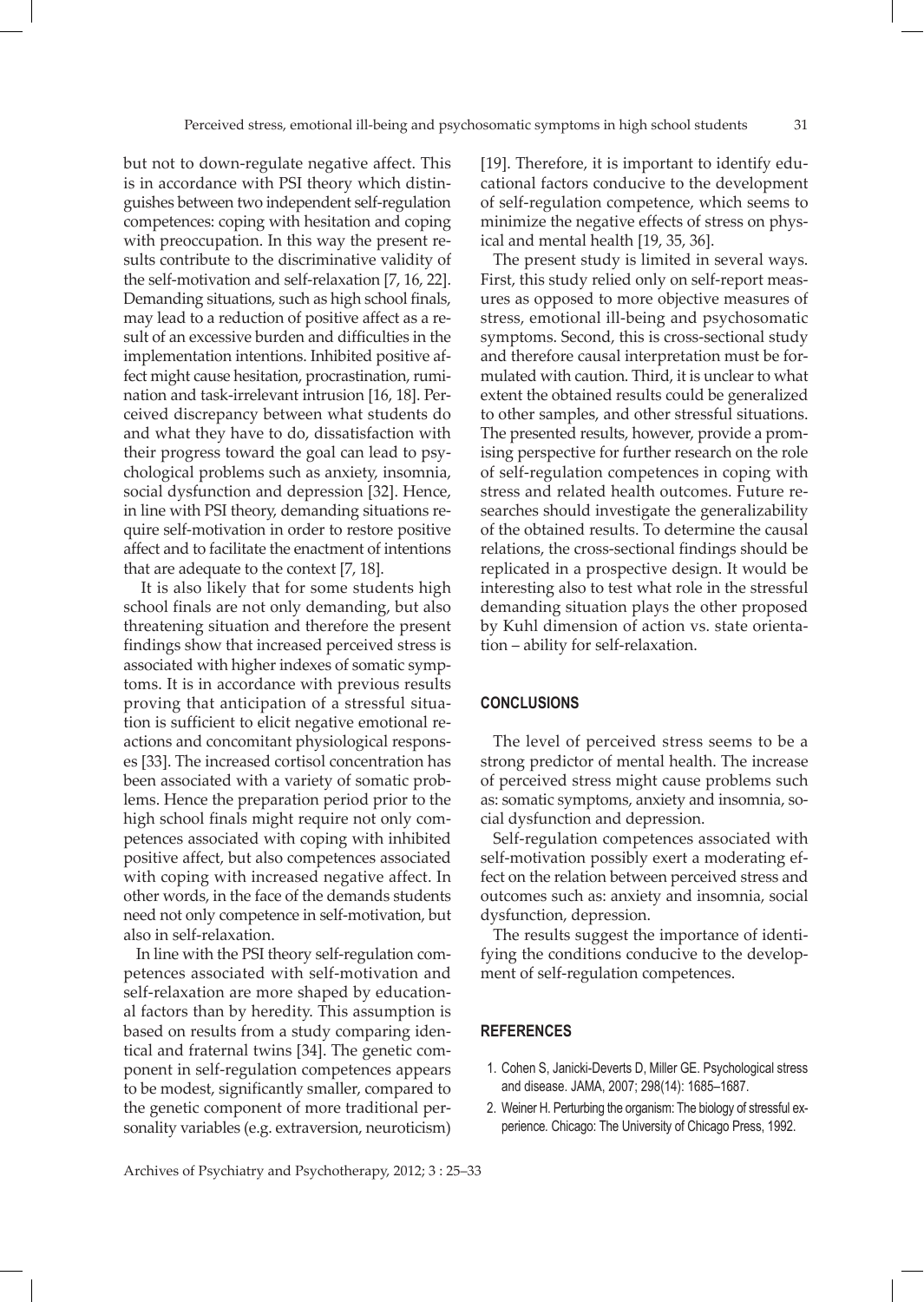but not to down-regulate negative affect. This is in accordance with PSI theory which distinguishes between two independent self-regulation competences: coping with hesitation and coping with preoccupation. In this way the present results contribute to the discriminative validity of the self-motivation and self-relaxation [7, 16, 22]. Demanding situations, such as high school finals, may lead to a reduction of positive affect as a result of an excessive burden and difficulties in the implementation intentions. Inhibited positive affect might cause hesitation, procrastination, rumination and task-irrelevant intrusion [16, 18]. Perceived discrepancy between what students do and what they have to do, dissatisfaction with their progress toward the goal can lead to psychological problems such as anxiety, insomnia, social dysfunction and depression [32]. Hence, in line with PSI theory, demanding situations require self-motivation in order to restore positive affect and to facilitate the enactment of intentions that are adequate to the context [7, 18].

It is also likely that for some students high school finals are not only demanding, but also threatening situation and therefore the present findings show that increased perceived stress is associated with higher indexes of somatic symptoms. It is in accordance with previous results proving that anticipation of a stressful situation is sufficient to elicit negative emotional reactions and concomitant physiological responses [33]. The increased cortisol concentration has been associated with a variety of somatic problems. Hence the preparation period prior to the high school finals might require not only competences associated with coping with inhibited positive affect, but also competences associated with coping with increased negative affect. In other words, in the face of the demands students need not only competence in self-motivation, but also in self-relaxation.

In line with the PSI theory self-regulation competences associated with self-motivation and self-relaxation are more shaped by educational factors than by heredity. This assumption is based on results from a study comparing identical and fraternal twins [34]. The genetic component in self-regulation competences appears to be modest, significantly smaller, compared to the genetic component of more traditional personality variables (e.g. extraversion, neuroticism)

[19]. Therefore, it is important to identify educational factors conducive to the development of self-regulation competence, which seems to minimize the negative effects of stress on physical and mental health [19, 35, 36].

The present study is limited in several ways. First, this study relied only on self-report measures as opposed to more objective measures of stress, emotional ill-being and psychosomatic symptoms. Second, this is cross-sectional study and therefore causal interpretation must be formulated with caution. Third, it is unclear to what extent the obtained results could be generalized to other samples, and other stressful situations. The presented results, however, provide a promising perspective for further research on the role of self-regulation competences in coping with stress and related health outcomes. Future researches should investigate the generalizability of the obtained results. To determine the causal relations, the cross-sectional findings should be replicated in a prospective design. It would be interesting also to test what role in the stressful demanding situation plays the other proposed by Kuhl dimension of action vs. state orientation – ability for self-relaxation.

## **CONCLUSIONS**

The level of perceived stress seems to be a strong predictor of mental health. The increase of perceived stress might cause problems such as: somatic symptoms, anxiety and insomnia, social dysfunction and depression.

Self-regulation competences associated with self-motivation possibly exert a moderating effect on the relation between perceived stress and outcomes such as: anxiety and insomnia, social dysfunction, depression.

The results suggest the importance of identifying the conditions conducive to the development of self-regulation competences.

#### **REFERENCES**

- 1. Cohen S, Janicki-Deverts D, Miller GE. Psychological stress and disease. JAMA, 2007; 298(14): 1685–1687.
- 2. Weiner H. Perturbing the organism: The biology of stressful experience*.* Chicago: The University of Chicago Press, 1992.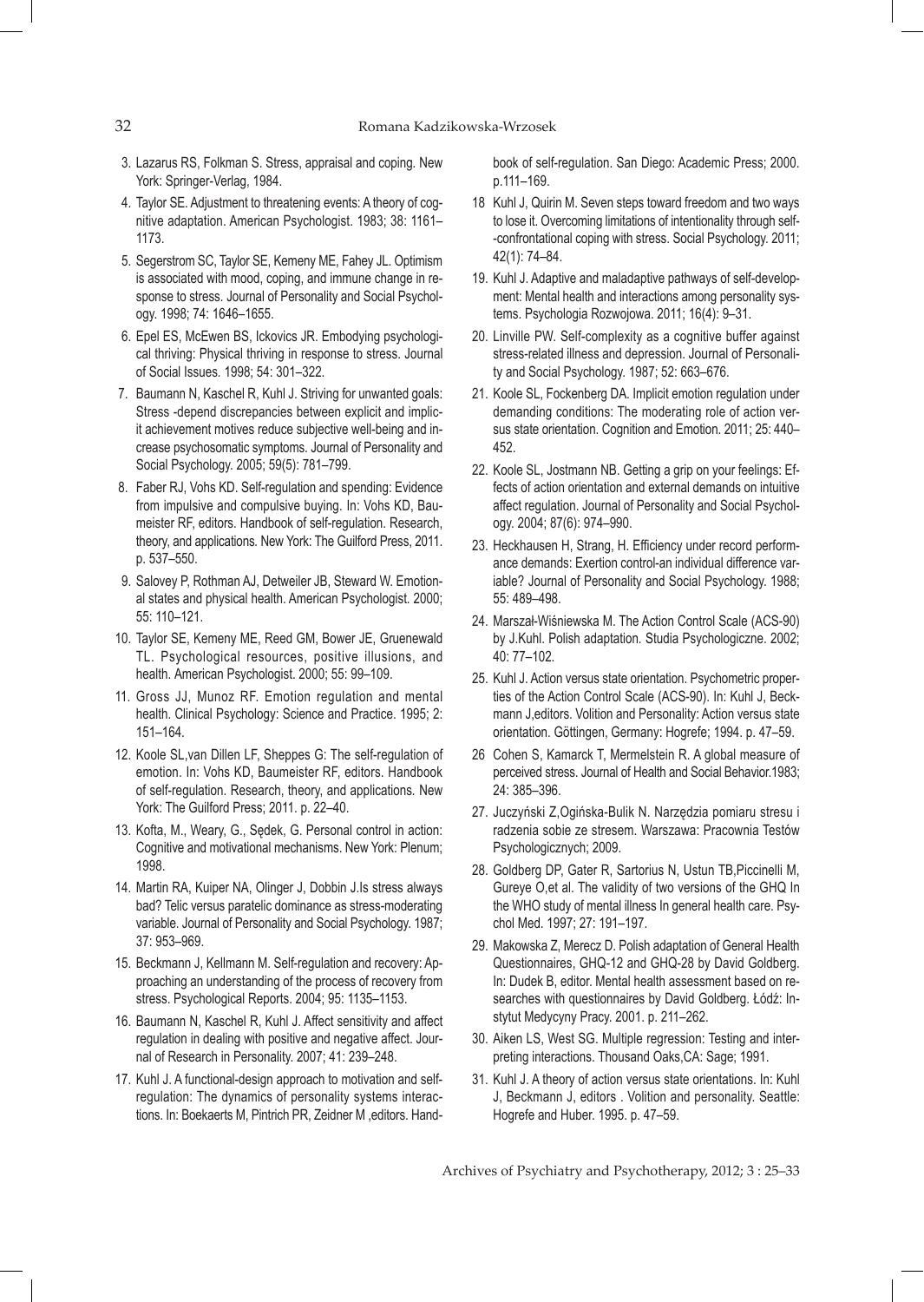- 3. Lazarus RS, Folkman S. Stress, appraisal and coping*.* New York: Springer-Verlag, 1984.
- 4. Taylor SE. Adjustment to threatening events: A theory of cognitive adaptation. American Psychologist. 1983; 38: 1161– 1173.
- 5. Segerstrom SC, Taylor SE, Kemeny ME, Fahey JL. Optimism is associated with mood, coping, and immune change in response to stress*.* Journal of Personality and Social Psychology. 1998; 74: 1646–1655.
- 6. Epel ES, McEwen BS, Ickovics JR. Embodying psychological thriving: Physical thriving in response to stress. Journal of Social Issues*.* 1998; 54: 301–322.
- 7. Baumann N, Kaschel R, Kuhl J. Striving for unwanted goals: Stress -depend discrepancies between explicit and implicit achievement motives reduce subjective well-being and increase psychosomatic symptoms. Journal of Personality and Social Psychology. 2005; 59(5): 781–799.
- 8. Faber RJ, Vohs KD. Self-regulation and spending: Evidence from impulsive and compulsive buying*.* In: Vohs KD, Baumeister RF, editors. Handbook of self-regulation. Research, theory, and applications*.* New York: The Guilford Press, 2011. p. 537–550.
- 9. Salovey P, Rothman AJ, Detweiler JB, Steward W. Emotional states and physical health. American Psychologist*.* 2000; 55: 110–121.
- 10. Taylor SE, Kemeny ME, Reed GM, Bower JE, Gruenewald TL. Psychological resources, positive illusions, and health. American Psychologist. 2000; 55: 99–109.
- 11. Gross JJ, Munoz RF. Emotion regulation and mental health. Clinical Psychology: Science and Practice. 1995; 2: 151–164.
- 12. Koole SL,van Dillen LF, Sheppes G: The self-regulation of emotion. In: Vohs KD, Baumeister RF, editors. Handbook of self-regulation. Research, theory, and applications*.* New York: The Guilford Press; 2011. p. 22–40.
- 13. Kofta, M., Weary, G., Sędek, G. Personal control in action: Cognitive and motivational mechanisms. New York: Plenum; 1998.
- 14. Martin RA, Kuiper NA, Olinger J, Dobbin J.Is stress always bad? Telic versus paratelic dominance as stress-moderating variable. Journal of Personality and Social Psychology. 1987; 37: 953–969.
- 15. Beckmann J, Kellmann M. Self-regulation and recovery: Approaching an understanding of the process of recovery from stress. Psychological Reports. 2004; 95: 1135–1153.
- 16. Baumann N, Kaschel R, Kuhl J. Affect sensitivity and affect regulation in dealing with positive and negative affect. Journal of Research in Personality. 2007; 41: 239–248.
- 17. Kuhl J. A functional-design approach to motivation and selfregulation: The dynamics of personality systems interactions. In: Boekaerts M, Pintrich PR, Zeidner M ,editors. Hand-

book of self-regulation. San Diego: Academic Press; 2000. p.111–169.

- 18 Kuhl J, Quirin M. Seven steps toward freedom and two ways to lose it. Overcoming limitations of intentionality through self- -confrontational coping with stress. Social Psychology. 2011; 42(1): 74–84.
- 19. Kuhl J. Adaptive and maladaptive pathways of self-development: Mental health and interactions among personality systems. Psychologia Rozwojowa. 2011; 16(4): 9–31.
- 20. Linville PW. Self-complexity as a cognitive buffer against stress-related illness and depression. Journal of Personality and Social Psychology. 1987; 52: 663–676.
- 21. Koole SL, Fockenberg DA. Implicit emotion regulation under demanding conditions: The moderating role of action versus state orientation. Cognition and Emotion. 2011; 25: 440– 452.
- 22. Koole SL, Jostmann NB. Getting a grip on your feelings: Effects of action orientation and external demands on intuitive affect regulation. Journal of Personality and Social Psychology. 2004; 87(6): 974–990.
- 23. Heckhausen H, Strang, H. Efficiency under record performance demands: Exertion control-an individual difference variable? Journal of Personality and Social Psychology. 1988; 55: 489–498.
- 24. Marszał-Wiśniewska M. The Action Control Scale (ACS-90) by J.Kuhl. Polish adaptation*.* Studia Psychologiczne. 2002; 40: 77–102.
- 25. Kuhl J. Action versus state orientation. Psychometric properties of the Action Control Scale (ACS-90). In: Kuhl J, Beckmann J,editors. Volition and Personality: Action versus state orientation. Göttingen, Germany: Hogrefe; 1994. p. 47–59.
- 26 Cohen S, Kamarck T, Mermelstein R. A global measure of perceived stress. Journal of Health and Social Behavior.1983; 24: 385–396.
- 27. Juczyński Z,Ogińska-Bulik N. Narzędzia pomiaru stresu i radzenia sobie ze stresem. Warszawa: Pracownia Testów Psychologicznych; 2009.
- 28. Goldberg DP, Gater R, Sartorius N, Ustun TB,Piccinelli M, Gureye O,et al. The validity of two versions of the GHQ In the WHO study of mental illness In general health care. Psychol Med. 1997; 27: 191–197.
- 29. Makowska Z, Merecz D. Polish adaptation of General Health Questionnaires, GHQ-12 and GHQ-28 by David Goldberg. In: Dudek B, editor. Mental health assessment based on researches with questionnaires by David Goldberg. Łódź: Instytut Medycyny Pracy. 2001. p. 211–262.
- 30. Aiken LS, West SG. Multiple regression: Testing and interpreting interactions. Thousand Oaks,CA: Sage; 1991.
- 31. Kuhl J. A theory of action versus state orientations. In: Kuhl J, Beckmann J, editors . Volition and personality. Seattle: Hogrefe and Huber. 1995. p. 47–59.